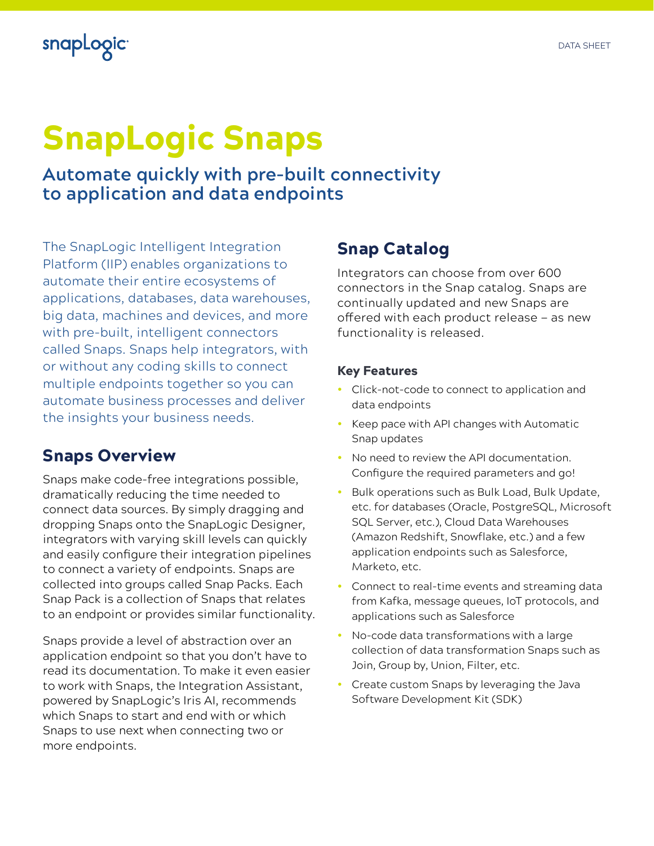## snapLogic<sup>®</sup>

# SnapLogic Snaps

**Automate quickly with pre-built connectivity to application and data endpoints**

The SnapLogic Intelligent Integration Platform (IIP) enables organizations to automate their entire ecosystems of applications, databases, data warehouses, big data, machines and devices, and more with pre-built, intelligent connectors called Snaps. Snaps help integrators, with or without any coding skills to connect multiple endpoints together so you can automate business processes and deliver the insights your business needs.

### Snaps Overview

Snaps make code-free integrations possible, dramatically reducing the time needed to connect data sources. By simply dragging and dropping Snaps onto the SnapLogic Designer, integrators with varying skill levels can quickly and easily configure their integration pipelines to connect a variety of endpoints. Snaps are collected into groups called Snap Packs. Each Snap Pack is a collection of Snaps that relates to an endpoint or provides similar functionality.

Snaps provide a level of abstraction over an application endpoint so that you don't have to read its documentation. To make it even easier to work with Snaps, the Integration Assistant, powered by SnapLogic's Iris AI, recommends which Snaps to start and end with or which Snaps to use next when connecting two or more endpoints.

#### Snap Catalog

Integrators can choose from over 600 connectors in the Snap catalog. Snaps are continually updated and new Snaps are offered with each product release — as new functionality is released.

#### Key Features

- Click-not-code to connect to application and data endpoints
- Keep pace with API changes with Automatic Snap updates
- No need to review the API documentation. Configure the required parameters and go!
- Bulk operations such as Bulk Load, Bulk Update, etc. for databases (Oracle, PostgreSQL, Microsoft SQL Server, etc.), Cloud Data Warehouses (Amazon Redshift, Snowflake, etc.) and a few application endpoints such as Salesforce, Marketo, etc.
- Connect to real-time events and streaming data from Kafka, message queues, IoT protocols, and applications such as Salesforce
- No-code data transformations with a large collection of data transformation Snaps such as Join, Group by, Union, Filter, etc.
- Create custom Snaps by leveraging the Java Software Development Kit (SDK)